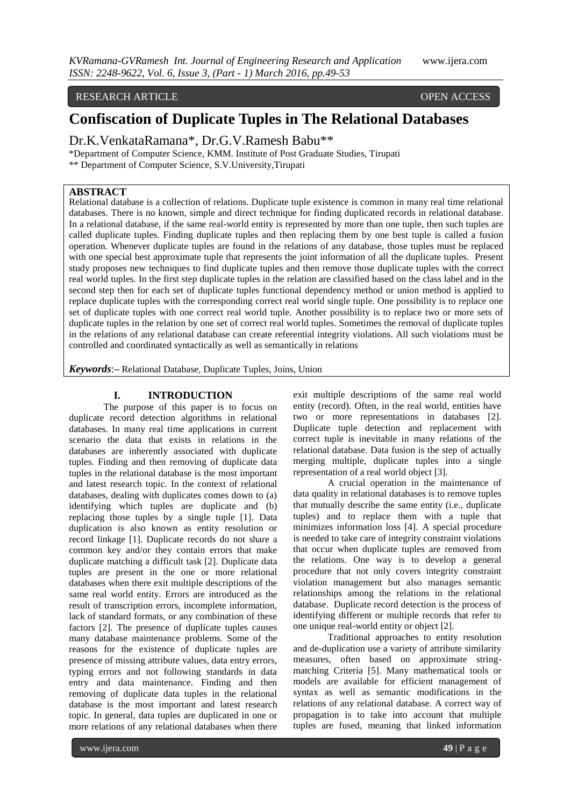#### RESEARCH ARTICLE **CONSERVERS** OPEN ACCESS

# **Confiscation of Duplicate Tuples in The Relational Databases**

Dr.K.VenkataRamana\*, Dr.G.V.Ramesh Babu\*\*

\*Department of Computer Science, KMM. Institute of Post Graduate Studies, Tirupati

\*\* Department of Computer Science, S.V.University,Tirupati

### **ABSTRACT**

Relational database is a collection of relations. Duplicate tuple existence is common in many real time relational databases. There is no known, simple and direct technique for finding duplicated records in relational database. In a relational database, if the same real-world entity is represented by more than one tuple, then such tuples are called duplicate tuples. Finding duplicate tuples and then replacing them by one best tuple is called a fusion operation. Whenever duplicate tuples are found in the relations of any database, those tuples must be replaced with one special best approximate tuple that represents the joint information of all the duplicate tuples. Present study proposes new techniques to find duplicate tuples and then remove those duplicate tuples with the correct real world tuples. In the first step duplicate tuples in the relation are classified based on the class label and in the second step then for each set of duplicate tuples functional dependency method or union method is applied to replace duplicate tuples with the corresponding correct real world single tuple. One possibility is to replace one set of duplicate tuples with one correct real world tuple. Another possibility is to replace two or more sets of duplicate tuples in the relation by one set of correct real world tuples. Sometimes the removal of duplicate tuples in the relations of any relational database can create referential integrity violations. All such violations must be controlled and coordinated syntactically as well as semantically in relations

*Keywords*:**–** Relational Database, Duplicate Tuples, Joins, Union

#### **I. INTRODUCTION**

The purpose of this paper is to focus on duplicate record detection algorithms in relational databases. In many real time applications in current scenario the data that exists in relations in the databases are inherently associated with duplicate tuples. Finding and then removing of duplicate data tuples in the relational database is the most important and latest research topic. In the context of relational databases, dealing with duplicates comes down to (a) identifying which tuples are duplicate and (b) replacing those tuples by a single tuple [1]. Data duplication is also known as entity resolution or record linkage [1]. Duplicate records do not share a common key and/or they contain errors that make duplicate matching a difficult task [2]. Duplicate data tuples are present in the one or more relational databases when there exit multiple descriptions of the same real world entity. Errors are introduced as the result of transcription errors, incomplete information, lack of standard formats, or any combination of these factors [2]. The presence of duplicate tuples causes many database maintenance problems. Some of the reasons for the existence of duplicate tuples are presence of missing attribute values, data entry errors, typing errors and not following standards in data entry and data maintenance. Finding and then removing of duplicate data tuples in the relational database is the most important and latest research topic. In general, data tuples are duplicated in one or more relations of any relational databases when there

exit multiple descriptions of the same real world entity (record). Often, in the real world, entities have two or more representations in databases [2]. Duplicate tuple detection and replacement with correct tuple is inevitable in many relations of the relational database. Data fusion is the step of actually merging multiple, duplicate tuples into a single representation of a real world object [3].

A crucial operation in the maintenance of data quality in relational databases is to remove tuples that mutually describe the same entity (i.e., duplicate tuples) and to replace them with a tuple that minimizes information loss [4]. A special procedure is needed to take care of integrity constraint violations that occur when duplicate tuples are removed from the relations. One way is to develop a general procedure that not only covers integrity constraint violation management but also manages semantic relationships among the relations in the relational database. Duplicate record detection is the process of identifying different or multiple records that refer to one unique real-world entity or object [2].

Traditional approaches to entity resolution and de-duplication use a variety of attribute similarity measures, often based on approximate stringmatching Criteria [5]. Many mathematical tools or models are available for efficient management of syntax as well as semantic modifications in the relations of any relational database. A correct way of propagation is to take into account that multiple tuples are fused, meaning that linked information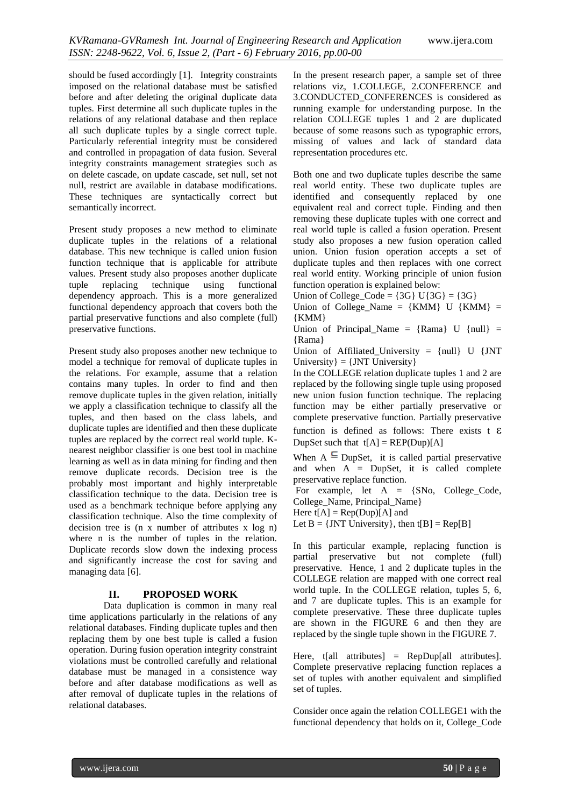should be fused accordingly [1]. Integrity constraints imposed on the relational database must be satisfied before and after deleting the original duplicate data tuples. First determine all such duplicate tuples in the relations of any relational database and then replace all such duplicate tuples by a single correct tuple. Particularly referential integrity must be considered and controlled in propagation of data fusion. Several integrity constraints management strategies such as on delete cascade, on update cascade, set null, set not null, restrict are available in database modifications. These techniques are syntactically correct but semantically incorrect.

Present study proposes a new method to eliminate duplicate tuples in the relations of a relational database. This new technique is called union fusion function technique that is applicable for attribute values. Present study also proposes another duplicate tuple replacing technique using functional dependency approach. This is a more generalized functional dependency approach that covers both the partial preservative functions and also complete (full) preservative functions.

Present study also proposes another new technique to model a technique for removal of duplicate tuples in the relations. For example, assume that a relation contains many tuples. In order to find and then remove duplicate tuples in the given relation, initially we apply a classification technique to classify all the tuples, and then based on the class labels, and duplicate tuples are identified and then these duplicate tuples are replaced by the correct real world tuple. Knearest neighbor classifier is one best tool in machine learning as well as in data mining for finding and then remove duplicate records. Decision tree is the probably most important and highly interpretable classification technique to the data. Decision tree is used as a benchmark technique before applying any classification technique. Also the time complexity of decision tree is (n x number of attributes x log n) where n is the number of tuples in the relation. Duplicate records slow down the indexing process and significantly increase the cost for saving and managing data [6].

#### **II. PROPOSED WORK**

Data duplication is common in many real time applications particularly in the relations of any relational databases. Finding duplicate tuples and then replacing them by one best tuple is called a fusion operation. During fusion operation integrity constraint violations must be controlled carefully and relational database must be managed in a consistence way before and after database modifications as well as after removal of duplicate tuples in the relations of relational databases.

In the present research paper, a sample set of three relations viz, 1.COLLEGE, 2.CONFERENCE and 3.CONDUCTED\_CONFERENCES is considered as running example for understanding purpose. In the relation COLLEGE tuples 1 and 2 are duplicated because of some reasons such as typographic errors, missing of values and lack of standard data representation procedures etc.

Both one and two duplicate tuples describe the same real world entity. These two duplicate tuples are identified and consequently replaced by one equivalent real and correct tuple. Finding and then removing these duplicate tuples with one correct and real world tuple is called a fusion operation. Present study also proposes a new fusion operation called union. Union fusion operation accepts a set of duplicate tuples and then replaces with one correct real world entity. Working principle of union fusion function operation is explained below:

Union of College  $Code = {3G}$  U{3G} = {3G}

Union of College\_Name =  $\{KMM\}$  U  $\{KMM\}$  = {KMM}

Union of Principal\_Name =  ${Ram }$  U  ${null }$  = {Rama}

Union of Affiliated\_University = {null} U {JNT University  $= \{JNT\ University\}$ 

In the COLLEGE relation duplicate tuples 1 and 2 are replaced by the following single tuple using proposed new union fusion function technique. The replacing function may be either partially preservative or complete preservative function. Partially preservative function is defined as follows: There exists  $t \in \mathcal{E}$ DupSet such that  $t[A] = REP(Dup)[A]$ 

When  $A \subseteq \text{DupSet}$ , it is called partial preservative and when  $A = DupSet$ , it is called complete preservative replace function.

For example, let A = {SNo, College\_Code, College\_Name, Principal\_Name}

Here  $t[A] = \text{Rep}(Dup)[A]$  and

Let  $B = \{JNT University\}$ , then  $t[B] = Rep[B]$ 

In this particular example, replacing function is partial preservative but not complete (full) preservative. Hence, 1 and 2 duplicate tuples in the COLLEGE relation are mapped with one correct real world tuple. In the COLLEGE relation, tuples 5, 6, and 7 are duplicate tuples. This is an example for complete preservative. These three duplicate tuples are shown in the FIGURE 6 and then they are replaced by the single tuple shown in the FIGURE 7.

Here,  $t[all \text{ attributes}] = \text{RepDup[all \text{ attributes}].}$ Complete preservative replacing function replaces a set of tuples with another equivalent and simplified set of tuples.

Consider once again the relation COLLEGE1 with the functional dependency that holds on it, College\_Code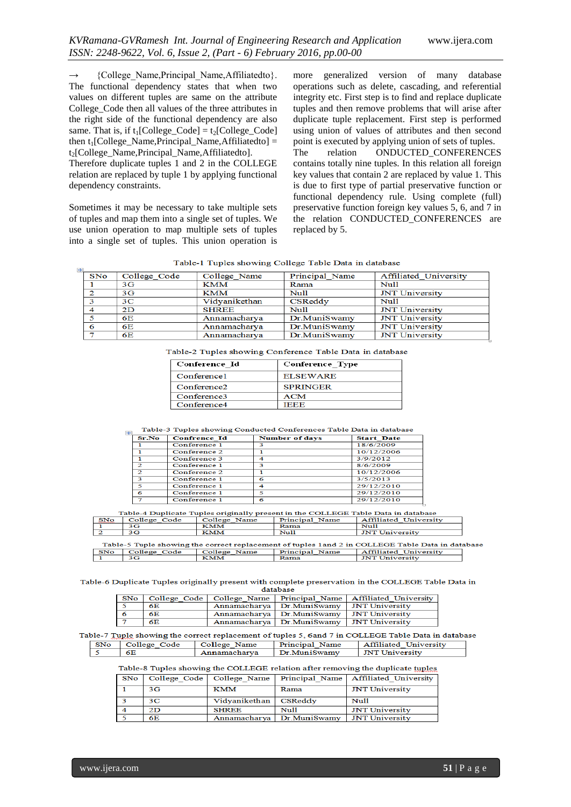→ {College\_Name,Principal\_Name,Affiliatedto}. The functional dependency states that when two values on different tuples are same on the attribute College\_Code then all values of the three attributes in the right side of the functional dependency are also same. That is, if  $t_1$ [College\_Code] =  $t_2$ [College\_Code] then  $t_1$ [College\_Name,Principal\_Name,Affiliatedto] =  $t<sub>2</sub>[CollegeName, PrincipalName, Affiliated to].$ 

Therefore duplicate tuples 1 and 2 in the COLLEGE relation are replaced by tuple 1 by applying functional dependency constraints.

Sometimes it may be necessary to take multiple sets of tuples and map them into a single set of tuples. We use union operation to map multiple sets of tuples into a single set of tuples. This union operation is more generalized version of many database operations such as delete, cascading, and referential integrity etc. First step is to find and replace duplicate tuples and then remove problems that will arise after duplicate tuple replacement. First step is performed using union of values of attributes and then second point is executed by applying union of sets of tuples. The relation ONDUCTED CONFERENCES contains totally nine tuples. In this relation all foreign key values that contain 2 are replaced by value 1. This is due to first type of partial preservative function or functional dependency rule. Using complete (full) preservative function foreign key values 5, 6, and 7 in the relation CONDUCTED\_CONFERENCES are replaced by 5.

| $+1-$      | Tuote 1 Tuples showing conege Tuote Dum in Gumbase |               |                |                       |  |  |
|------------|----------------------------------------------------|---------------|----------------|-----------------------|--|--|
| <b>SNo</b> | College Code                                       | College Name  | Principal Name | Affiliated University |  |  |
|            | 3 <sub>G</sub>                                     | KMM           | Rama           | Null                  |  |  |
| 2          | 3 <sub>G</sub>                                     | KMM           | Null           | <b>JNT University</b> |  |  |
| 3          | 3 <sup>C</sup>                                     | Vidyanikethan | CSReddy        | Null                  |  |  |
| 4          | 2D                                                 | <b>SHREE</b>  | Nul1           | <b>JNT</b> University |  |  |
| 5          | 6E                                                 | Annamacharya  | Dr.MuniSwamy   | <b>JNT</b> University |  |  |
| 6          | 6E                                                 | Annamacharva  | Dr.MuniSwamy   | <b>JNT</b> University |  |  |
|            | 6E                                                 | Annamacharya  | Dr.MuniSwamy   | <b>JNT University</b> |  |  |

| Table-2 Tuples showing Conference Table Data in database |  |  |  |
|----------------------------------------------------------|--|--|--|
|----------------------------------------------------------|--|--|--|

| Conference Id           | Conference Type |
|-------------------------|-----------------|
| Conference1             | <b>ELSEWARE</b> |
| Conference <sub>2</sub> | <b>SPRINGER</b> |
| Conference3             | ACM             |
| Conference4             | IEEE            |

Table-3 Tuples showing Conducted Conferences Table Data in database

| Sr.No         | <b>Confrence Id</b> | <b>Number of days</b> | <b>Start Date</b> |
|---------------|---------------------|-----------------------|-------------------|
|               | Conference 1        |                       | 18/6/2009         |
|               | Conference 2        |                       | 10/12/2006        |
|               | Conference 3        | $\boldsymbol{A}$      | 3/9/2012          |
| $\mathcal{P}$ | Conference 1        |                       | 8/6/2009          |
| $\mathbf{z}$  | <b>Conference 2</b> |                       | 10/12/2006        |
| R             | Conference 1        | 6                     | 3/5/2013          |
| ≂             | Conference 1        | 4                     | 29/12/2010        |
| 6             | Conference 1        | s                     | 29/12/2010        |
|               | Conference 1        | 6                     | 29/12/2010        |

Table-4 Duplicate Tuples originally present in the COLLEGE Table Data in database

| <b>RANGE</b>                                                                                     | Conege Code | Conege Name | Principal Name | Allinated University  |  |  |
|--------------------------------------------------------------------------------------------------|-------------|-------------|----------------|-----------------------|--|--|
|                                                                                                  | 3G          | <b>KMM</b>  | Rama           | $Nu$ 11               |  |  |
|                                                                                                  | 3G.         | KMM         | Null           | <b>JNT University</b> |  |  |
| Table-5 Tuple showing the correct replacement of tuples 1 and 2 in COLLEGE Table Data in databar |             |             |                |                       |  |  |

| Table-5 Tuble showing the correct replacement of tubles Tand 2 in COLLEGE Table Data in database |                  |              |                       |                       |  |
|--------------------------------------------------------------------------------------------------|------------------|--------------|-----------------------|-----------------------|--|
|                                                                                                  | SNo College Code | College Name | <b>Principal Name</b> | Affiliated University |  |
|                                                                                                  |                  | <b>KMM</b>   | Rama                  | <b>JNT University</b> |  |

Table-6 Duplicate Tuples originally present with complete preservation in the COLLEGE Table Data in database

| SNo | College Code   College Name   Principal Name   Affiliated University |  |                                               |  |  |  |
|-----|----------------------------------------------------------------------|--|-----------------------------------------------|--|--|--|
|     | 6E                                                                   |  | Annamacharya Dr. MuniSwamy JNT University     |  |  |  |
|     | 6E                                                                   |  | Annamacharya   Dr. MuniSwamy   JNT University |  |  |  |
|     |                                                                      |  | Annamacharya Dr. MuniSwamy   JNT University   |  |  |  |

Table-7 Tuple showing the correct replacement of tuples 5, 6and 7 in COLLEGE Table Data in database  $SNo$ College\_Code College\_Name Principal\_Name **Affiliated University**  $\sim$ Annamacharya Dr.MuniSwamy **JNT University** 

6E

Table-8 Tuples showing the COLLEGE relation after removing the duplicate tuples

| SNo |    |               |                              | College Code   College Name   Principal Name   Affiliated University |
|-----|----|---------------|------------------------------|----------------------------------------------------------------------|
|     | 3G | <b>KMM</b>    | Rama                         | <b>JNT University</b>                                                |
|     | 3C | Vidvanikethan | CSReddy                      | Null                                                                 |
|     | 2D | <b>SHREE</b>  | Null                         | <b>JNT University</b>                                                |
|     | 6E |               | Annamacharva   Dr. MuniSwamv | <b>JNT University</b>                                                |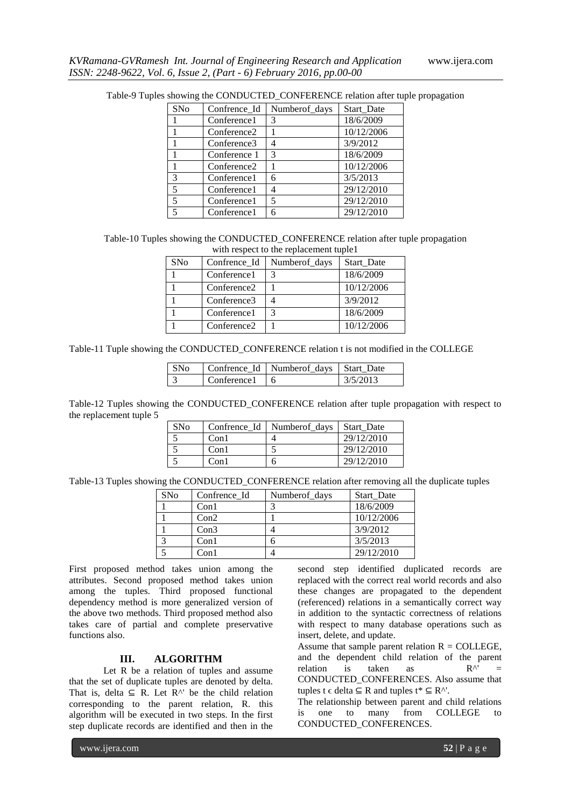| <b>SNo</b>               | Confrence Id            | Numberof_days | Start Date |
|--------------------------|-------------------------|---------------|------------|
|                          | Conference1             | 3             | 18/6/2009  |
|                          | Conference <sub>2</sub> |               | 10/12/2006 |
|                          | Conference3             |               | 3/9/2012   |
|                          | Conference 1            | 3             | 18/6/2009  |
|                          | Conference <sub>2</sub> |               | 10/12/2006 |
| 3                        | Conference1             | 6             | 3/5/2013   |
| 5                        | Conference1             |               | 29/12/2010 |
| 5                        | Conference1             | 5             | 29/12/2010 |
| $\overline{\phantom{a}}$ | Conference1             | 6             | 29/12/2010 |

Table-9 Tuples showing the CONDUCTED\_CONFERENCE relation after tuple propagation

| Table-10 Tuples showing the CONDUCTED_CONFERENCE relation after tuple propagation |
|-----------------------------------------------------------------------------------|
| with respect to the replacement tuple1                                            |

| SNo | Confrence_Id            | Numberof_days | Start Date |
|-----|-------------------------|---------------|------------|
|     | Conference1             |               | 18/6/2009  |
|     | Conference <sub>2</sub> |               | 10/12/2006 |
|     | Conference3             |               | 3/9/2012   |
|     | Conference1             |               | 18/6/2009  |
|     | Conference <sub>2</sub> |               | 10/12/2006 |

Table-11 Tuple showing the CONDUCTED\_CONFERENCE relation t is not modified in the COLLEGE

| SN <sub>0</sub> |                                  | Confrence Id   Numberof_days   Start_Date |           |
|-----------------|----------------------------------|-------------------------------------------|-----------|
|                 | $\lfloor$ Conference $\lfloor$ 6 |                                           | 13/5/2013 |

Table-12 Tuples showing the CONDUCTED\_CONFERENCE relation after tuple propagation with respect to the replacement tuple 5

| <b>SNo</b> |      | Confrence Id   Number days | Start Date |
|------------|------|----------------------------|------------|
|            | Con1 |                            | 29/12/2010 |
|            | Con1 |                            | 29/12/2010 |
|            | Con1 |                            | 29/12/2010 |

Table-13 Tuples showing the CONDUCTED\_CONFERENCE relation after removing all the duplicate tuples

| SNo | Confrence Id | Numberof_days | Start Date |
|-----|--------------|---------------|------------|
|     | Con1         |               | 18/6/2009  |
|     | Con2         |               | 10/12/2006 |
|     | Con3         |               | 3/9/2012   |
|     | Con1         |               | 3/5/2013   |
|     | Con 1        |               | 29/12/2010 |

First proposed method takes union among the attributes. Second proposed method takes union among the tuples. Third proposed functional dependency method is more generalized version of the above two methods. Third proposed method also takes care of partial and complete preservative functions also.

### **III. ALGORITHM**

Let R be a relation of tuples and assume that the set of duplicate tuples are denoted by delta. That is, delta  $\subseteq$  R. Let R<sup>^'</sup> be the child relation corresponding to the parent relation, R. this algorithm will be executed in two steps. In the first step duplicate records are identified and then in the

second step identified duplicated records are replaced with the correct real world records and also these changes are propagated to the dependent (referenced) relations in a semantically correct way in addition to the syntactic correctness of relations with respect to many database operations such as insert, delete, and update.

Assume that sample parent relation  $R = \text{COLLEGE}$ , and the dependent child relation of the parent relation is taken as  $R^{\wedge}$  = CONDUCTED\_CONFERENCES. Also assume that tuples t  $\epsilon$  delta  $\subseteq$  R and tuples t\*  $\subseteq$  R^'.

The relationship between parent and child relations is one to many from COLLEGE to CONDUCTED\_CONFERENCES.